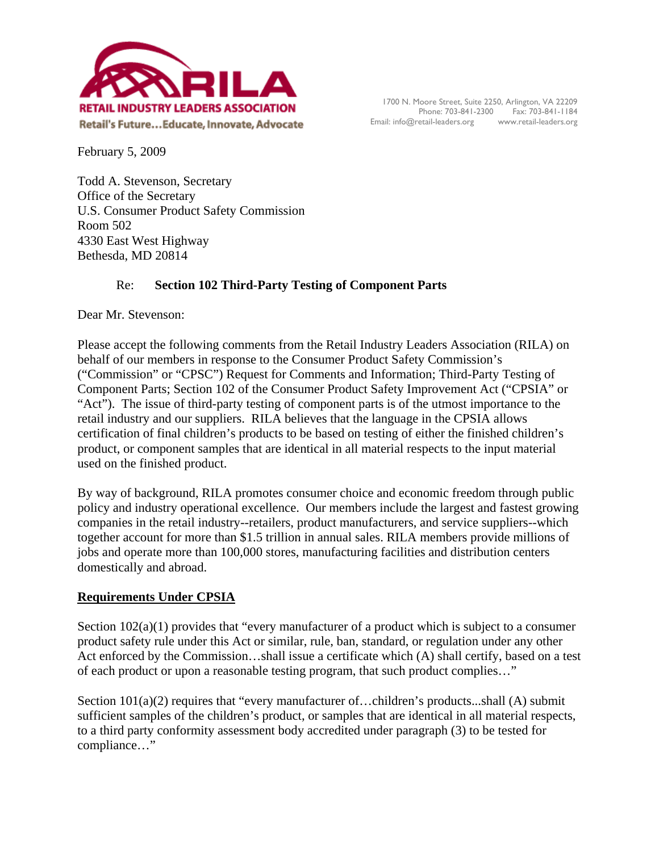

February 5, 2009

Todd A. Stevenson, Secretary Office of the Secretary U.S. Consumer Product Safety Commission Room 502 4330 East West Highway Bethesda, MD 20814

# Re: **Section 102 Third-Party Testing of Component Parts**

Dear Mr. Stevenson:

Please accept the following comments from the Retail Industry Leaders Association (RILA) on behalf of our members in response to the Consumer Product Safety Commission's ("Commission" or "CPSC") Request for Comments and Information; Third-Party Testing of Component Parts; Section 102 of the Consumer Product Safety Improvement Act ("CPSIA" or "Act"). The issue of third-party testing of component parts is of the utmost importance to the retail industry and our suppliers. RILA believes that the language in the CPSIA allows certification of final children's products to be based on testing of either the finished children's product, or component samples that are identical in all material respects to the input material used on the finished product.

By way of background, RILA promotes consumer choice and economic freedom through public policy and industry operational excellence. Our members include the largest and fastest growing companies in the retail industry--retailers, product manufacturers, and service suppliers--which together account for more than \$1.5 trillion in annual sales. RILA members provide millions of jobs and operate more than 100,000 stores, manufacturing facilities and distribution centers domestically and abroad.

## **Requirements Under CPSIA**

Section 102(a)(1) provides that "every manufacturer of a product which is subject to a consumer product safety rule under this Act or similar, rule, ban, standard, or regulation under any other Act enforced by the Commission…shall issue a certificate which (A) shall certify, based on a test of each product or upon a reasonable testing program, that such product complies…"

Section 101(a)(2) requires that "every manufacturer of...children's products...shall (A) submit sufficient samples of the children's product, or samples that are identical in all material respects, to a third party conformity assessment body accredited under paragraph (3) to be tested for compliance…"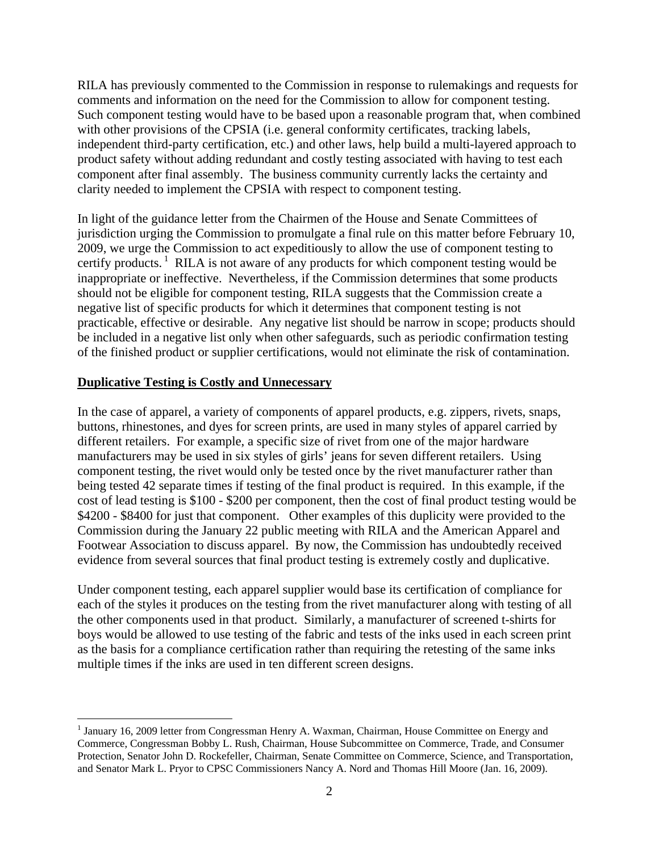RILA has previously commented to the Commission in response to rulemakings and requests for comments and information on the need for the Commission to allow for component testing. Such component testing would have to be based upon a reasonable program that, when combined with other provisions of the CPSIA (i.e. general conformity certificates, tracking labels, independent third-party certification, etc.) and other laws, help build a multi-layered approach to product safety without adding redundant and costly testing associated with having to test each component after final assembly. The business community currently lacks the certainty and clarity needed to implement the CPSIA with respect to component testing.

In light of the guidance letter from the Chairmen of the House and Senate Committees of jurisdiction urging the Commission to promulgate a final rule on this matter before February 10, 2009, we urge the Commission to act expeditiously to allow the use of component testing to certify products.<sup>1</sup> RILA is not aware of any products for which component testing would be inappropriate or ineffective. Nevertheless, if the Commission determines that some products should not be eligible for component testing, RILA suggests that the Commission create a negative list of specific products for which it determines that component testing is not practicable, effective or desirable. Any negative list should be narrow in scope; products should be included in a negative list only when other safeguards, such as periodic confirmation testing of the finished product or supplier certifications, would not eliminate the risk of contamination.

#### **Duplicative Testing is Costly and Unnecessary**

 $\overline{a}$ 

In the case of apparel, a variety of components of apparel products, e.g. zippers, rivets, snaps, buttons, rhinestones, and dyes for screen prints, are used in many styles of apparel carried by different retailers. For example, a specific size of rivet from one of the major hardware manufacturers may be used in six styles of girls' jeans for seven different retailers. Using component testing, the rivet would only be tested once by the rivet manufacturer rather than being tested 42 separate times if testing of the final product is required. In this example, if the cost of lead testing is \$100 - \$200 per component, then the cost of final product testing would be \$4200 - \$8400 for just that component. Other examples of this duplicity were provided to the Commission during the January 22 public meeting with RILA and the American Apparel and Footwear Association to discuss apparel. By now, the Commission has undoubtedly received evidence from several sources that final product testing is extremely costly and duplicative.

Under component testing, each apparel supplier would base its certification of compliance for each of the styles it produces on the testing from the rivet manufacturer along with testing of all the other components used in that product. Similarly, a manufacturer of screened t-shirts for boys would be allowed to use testing of the fabric and tests of the inks used in each screen print as the basis for a compliance certification rather than requiring the retesting of the same inks multiple times if the inks are used in ten different screen designs.

<sup>&</sup>lt;sup>1</sup> January 16, 2009 letter from Congressman Henry A. Waxman, Chairman, House Committee on Energy and Commerce, Congressman Bobby L. Rush, Chairman, House Subcommittee on Commerce, Trade, and Consumer Protection, Senator John D. Rockefeller, Chairman, Senate Committee on Commerce, Science, and Transportation, and Senator Mark L. Pryor to CPSC Commissioners Nancy A. Nord and Thomas Hill Moore (Jan. 16, 2009).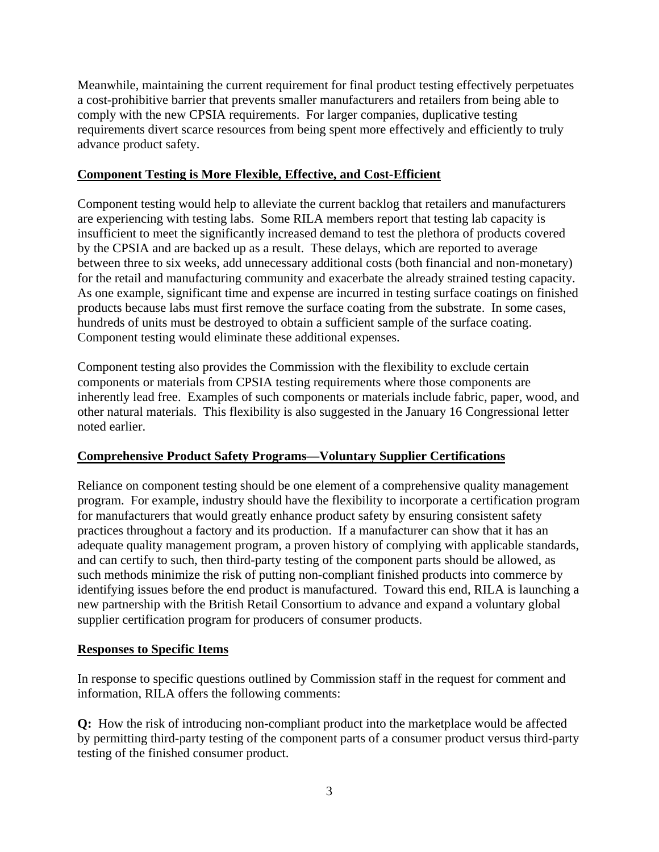Meanwhile, maintaining the current requirement for final product testing effectively perpetuates a cost-prohibitive barrier that prevents smaller manufacturers and retailers from being able to comply with the new CPSIA requirements. For larger companies, duplicative testing requirements divert scarce resources from being spent more effectively and efficiently to truly advance product safety.

### **Component Testing is More Flexible, Effective, and Cost-Efficient**

Component testing would help to alleviate the current backlog that retailers and manufacturers are experiencing with testing labs. Some RILA members report that testing lab capacity is insufficient to meet the significantly increased demand to test the plethora of products covered by the CPSIA and are backed up as a result. These delays, which are reported to average between three to six weeks, add unnecessary additional costs (both financial and non-monetary) for the retail and manufacturing community and exacerbate the already strained testing capacity. As one example, significant time and expense are incurred in testing surface coatings on finished products because labs must first remove the surface coating from the substrate. In some cases, hundreds of units must be destroyed to obtain a sufficient sample of the surface coating. Component testing would eliminate these additional expenses.

Component testing also provides the Commission with the flexibility to exclude certain components or materials from CPSIA testing requirements where those components are inherently lead free. Examples of such components or materials include fabric, paper, wood, and other natural materials. This flexibility is also suggested in the January 16 Congressional letter noted earlier.

## **Comprehensive Product Safety Programs—Voluntary Supplier Certifications**

Reliance on component testing should be one element of a comprehensive quality management program. For example, industry should have the flexibility to incorporate a certification program for manufacturers that would greatly enhance product safety by ensuring consistent safety practices throughout a factory and its production. If a manufacturer can show that it has an adequate quality management program, a proven history of complying with applicable standards, and can certify to such, then third-party testing of the component parts should be allowed, as such methods minimize the risk of putting non-compliant finished products into commerce by identifying issues before the end product is manufactured. Toward this end, RILA is launching a new partnership with the British Retail Consortium to advance and expand a voluntary global supplier certification program for producers of consumer products.

#### **Responses to Specific Items**

In response to specific questions outlined by Commission staff in the request for comment and information, RILA offers the following comments:

**Q:** How the risk of introducing non-compliant product into the marketplace would be affected by permitting third-party testing of the component parts of a consumer product versus third-party testing of the finished consumer product.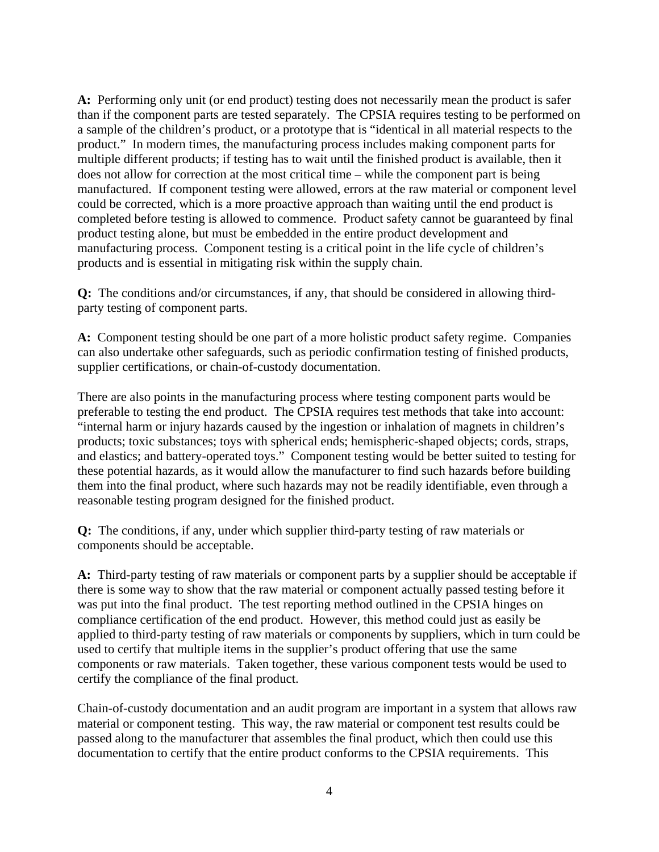**A:** Performing only unit (or end product) testing does not necessarily mean the product is safer than if the component parts are tested separately. The CPSIA requires testing to be performed on a sample of the children's product, or a prototype that is "identical in all material respects to the product." In modern times, the manufacturing process includes making component parts for multiple different products; if testing has to wait until the finished product is available, then it does not allow for correction at the most critical time – while the component part is being manufactured. If component testing were allowed, errors at the raw material or component level could be corrected, which is a more proactive approach than waiting until the end product is completed before testing is allowed to commence. Product safety cannot be guaranteed by final product testing alone, but must be embedded in the entire product development and manufacturing process. Component testing is a critical point in the life cycle of children's products and is essential in mitigating risk within the supply chain.

**Q:** The conditions and/or circumstances, if any, that should be considered in allowing thirdparty testing of component parts.

**A:** Component testing should be one part of a more holistic product safety regime. Companies can also undertake other safeguards, such as periodic confirmation testing of finished products, supplier certifications, or chain-of-custody documentation.

There are also points in the manufacturing process where testing component parts would be preferable to testing the end product. The CPSIA requires test methods that take into account: "internal harm or injury hazards caused by the ingestion or inhalation of magnets in children's products; toxic substances; toys with spherical ends; hemispheric-shaped objects; cords, straps, and elastics; and battery-operated toys." Component testing would be better suited to testing for these potential hazards, as it would allow the manufacturer to find such hazards before building them into the final product, where such hazards may not be readily identifiable, even through a reasonable testing program designed for the finished product.

**Q:** The conditions, if any, under which supplier third-party testing of raw materials or components should be acceptable.

**A:** Third-party testing of raw materials or component parts by a supplier should be acceptable if there is some way to show that the raw material or component actually passed testing before it was put into the final product. The test reporting method outlined in the CPSIA hinges on compliance certification of the end product. However, this method could just as easily be applied to third-party testing of raw materials or components by suppliers, which in turn could be used to certify that multiple items in the supplier's product offering that use the same components or raw materials. Taken together, these various component tests would be used to certify the compliance of the final product.

Chain-of-custody documentation and an audit program are important in a system that allows raw material or component testing. This way, the raw material or component test results could be passed along to the manufacturer that assembles the final product, which then could use this documentation to certify that the entire product conforms to the CPSIA requirements. This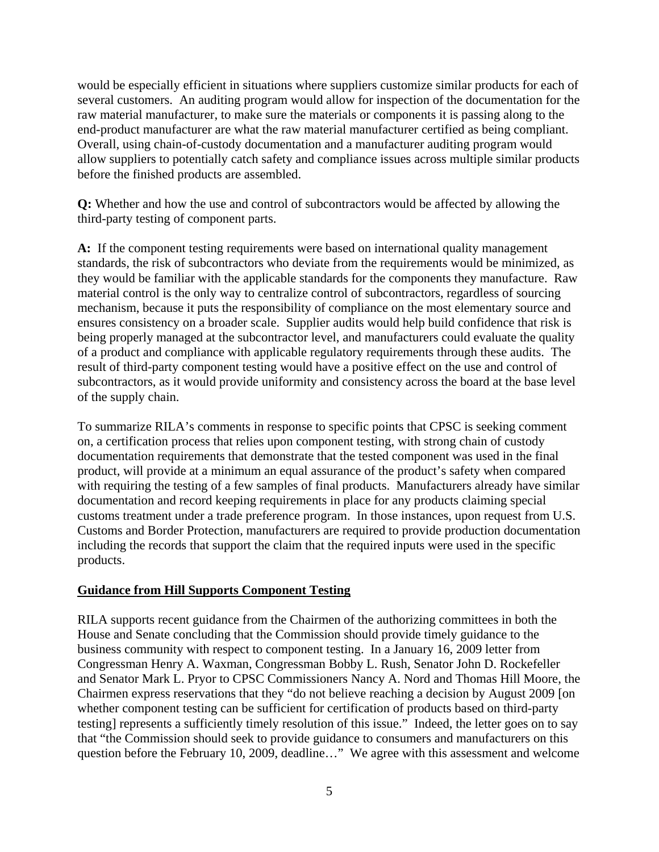would be especially efficient in situations where suppliers customize similar products for each of several customers. An auditing program would allow for inspection of the documentation for the raw material manufacturer, to make sure the materials or components it is passing along to the end-product manufacturer are what the raw material manufacturer certified as being compliant. Overall, using chain-of-custody documentation and a manufacturer auditing program would allow suppliers to potentially catch safety and compliance issues across multiple similar products before the finished products are assembled.

**Q:** Whether and how the use and control of subcontractors would be affected by allowing the third-party testing of component parts.

**A:** If the component testing requirements were based on international quality management standards, the risk of subcontractors who deviate from the requirements would be minimized, as they would be familiar with the applicable standards for the components they manufacture. Raw material control is the only way to centralize control of subcontractors, regardless of sourcing mechanism, because it puts the responsibility of compliance on the most elementary source and ensures consistency on a broader scale. Supplier audits would help build confidence that risk is being properly managed at the subcontractor level, and manufacturers could evaluate the quality of a product and compliance with applicable regulatory requirements through these audits. The result of third-party component testing would have a positive effect on the use and control of subcontractors, as it would provide uniformity and consistency across the board at the base level of the supply chain.

To summarize RILA's comments in response to specific points that CPSC is seeking comment on, a certification process that relies upon component testing, with strong chain of custody documentation requirements that demonstrate that the tested component was used in the final product, will provide at a minimum an equal assurance of the product's safety when compared with requiring the testing of a few samples of final products. Manufacturers already have similar documentation and record keeping requirements in place for any products claiming special customs treatment under a trade preference program. In those instances, upon request from U.S. Customs and Border Protection, manufacturers are required to provide production documentation including the records that support the claim that the required inputs were used in the specific products.

## **Guidance from Hill Supports Component Testing**

RILA supports recent guidance from the Chairmen of the authorizing committees in both the House and Senate concluding that the Commission should provide timely guidance to the business community with respect to component testing. In a January 16, 2009 letter from Congressman Henry A. Waxman, Congressman Bobby L. Rush, Senator John D. Rockefeller and Senator Mark L. Pryor to CPSC Commissioners Nancy A. Nord and Thomas Hill Moore, the Chairmen express reservations that they "do not believe reaching a decision by August 2009 [on whether component testing can be sufficient for certification of products based on third-party testing] represents a sufficiently timely resolution of this issue." Indeed, the letter goes on to say that "the Commission should seek to provide guidance to consumers and manufacturers on this question before the February 10, 2009, deadline…" We agree with this assessment and welcome